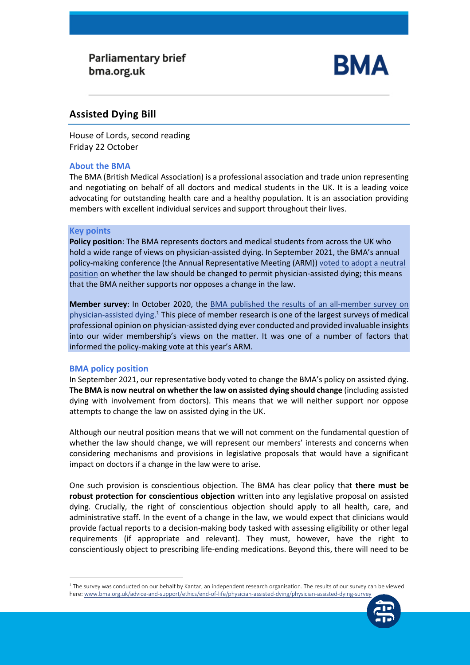# **Parliamentary brief** bma.org.uk



## **Assisted Dying Bill**

House of Lords, second reading Friday 22 October

### **About the BMA**

The BMA (British Medical Association) is a professional association and trade union representing and negotiating on behalf of all doctors and medical students in the UK. It is a leading voice advocating for outstanding health care and a healthy population. It is an association providing members with excellent individual services and support throughout their lives.

#### **Key points**

**Policy position**: The BMA represents doctors and medical students from across the UK who hold a wide range of views on physician-assisted dying. In September 2021, the BMA's annual policy-making conference (the Annual Representative Meeting (ARM)) voted to adopt a neutral [position](https://www.bma.org.uk/advice-and-support/ethics/end-of-life/physician-assisted-dying) on whether the law should be changed to permit physician-assisted dying; this means that the BMA neither supports nor opposes a change in the law.

**Member survey**: In October 2020, the [BMA published the results of](https://www.bma.org.uk/advice-and-support/ethics/end-of-life/physician-assisted-dying/physician-assisted-dying-survey) an all-member survey on [physician-assisted dying.](https://www.bma.org.uk/advice-and-support/ethics/end-of-life/physician-assisted-dying/physician-assisted-dying-survey)<sup>1</sup> This piece of member research is one of the largest surveys of medical professional opinion on physician-assisted dying ever conducted and provided invaluable insights into our wider membership's views on the matter. It was one of a number of factors that informed the policy-making vote at this year's ARM.

#### **BMA policy position**

In September 2021, our representative body voted to change the BMA's policy on assisted dying. **The BMA is now neutral on whether the law on assisted dying should change** (including assisted dying with involvement from doctors). This means that we will neither support nor oppose attempts to change the law on assisted dying in the UK.

Although our neutral position means that we will not comment on the fundamental question of whether the law should change, we will represent our members' interests and concerns when considering mechanisms and provisions in legislative proposals that would have a significant impact on doctors if a change in the law were to arise.

One such provision is conscientious objection. The BMA has clear policy that **there must be robust protection for conscientious objection** written into any legislative proposal on assisted dying. Crucially, the right of conscientious objection should apply to all health, care, and administrative staff. In the event of a change in the law, we would expect that clinicians would provide factual reports to a decision-making body tasked with assessing eligibility or other legal requirements (if appropriate and relevant). They must, however, have the right to conscientiously object to prescribing life-ending medications. Beyond this, there will need to be

<sup>1</sup> The survey was conducted on our behalf by Kantar, an independent research organisation. The results of our survey can be viewed here[: www.bma.org.uk/advice-and-support/ethics/end-of-life/physician-assisted-dying/physician-assisted-dying-survey](http://www.bma.org.uk/advice-and-support/ethics/end-of-life/physician-assisted-dying/physician-assisted-dying-survey)